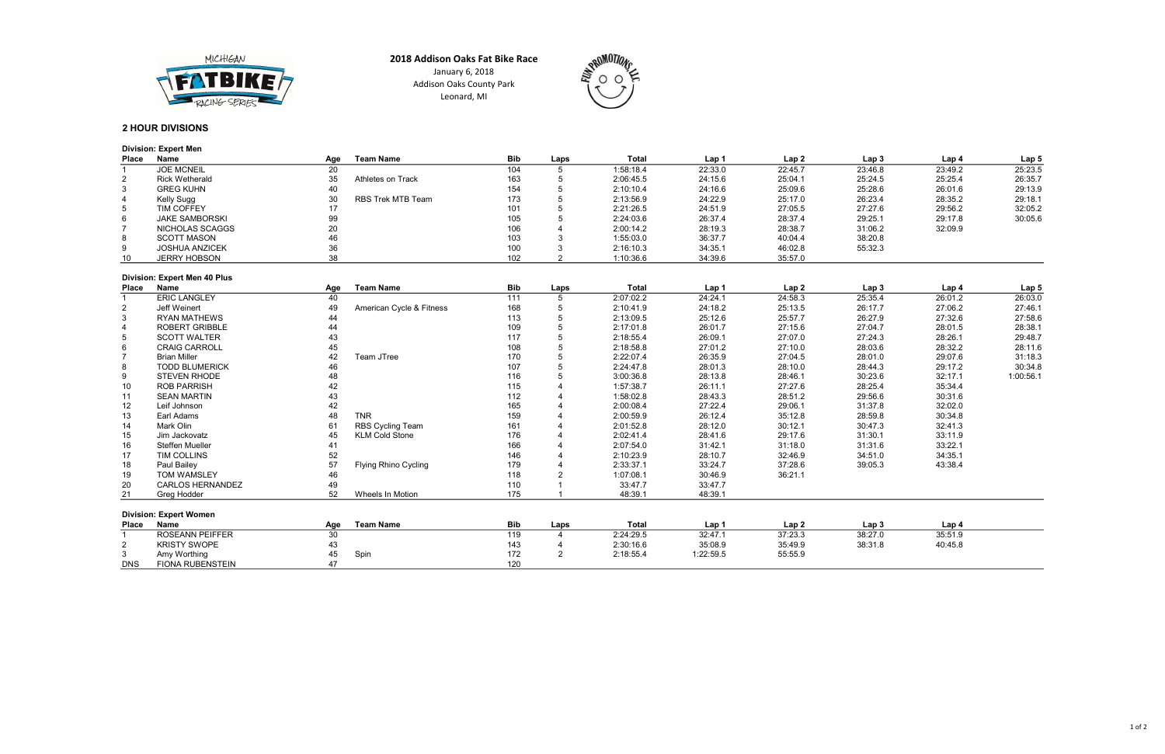# 2 HOUR DIVISIONS

## Division: Expert Men

| <b>Place</b> | <b>Name</b>           | Age | <b>Team Name</b>  | <b>Bib</b> | Laps | Total     | Lap 1   | Lap <sub>2</sub> | Lap 3   | Lap 4   | Lap <sub>5</sub> |
|--------------|-----------------------|-----|-------------------|------------|------|-----------|---------|------------------|---------|---------|------------------|
|              | <b>JOE MCNEIL</b>     | 20  |                   | 104        |      | 1:58:18.4 | 22:33.0 | 22:45.7          | 23:46.8 | 23:49.2 | 25:23.5          |
| 2            | <b>Rick Wetherald</b> | 35  | Athletes on Track | 163        |      | 2:06:45.5 | 24:15.6 | 25:04.1          | 25:24.5 | 25:25.4 | 26:35.7          |
| 3            | <b>GREG KUHN</b>      | 40  |                   | 154        |      | 2:10:10.4 | 24:16.6 | 25:09.6          | 25:28.6 | 26:01.6 | 29:13.9          |
|              | Kelly Sugg            | 30  | RBS Trek MTB Team | 173        |      | 2:13:56.9 | 24:22.9 | 25:17.0          | 26:23.4 | 28:35.2 | 29:18.1          |
| 5            | <b>TIM COFFEY</b>     |     |                   | 101        |      | 2:21:26.5 | 24:51.9 | 27:05.5          | 27:27.6 | 29:56.2 | 32:05.2          |
| 6            | <b>JAKE SAMBORSKI</b> | 99  |                   | 105        |      | 2:24:03.6 | 26:37.4 | 28:37.4          | 29:25.1 | 29:17.8 | 30:05.6          |
|              | NICHOLAS SCAGGS       | 20  |                   | 106        |      | 2:00:14.2 | 28:19.3 | 28:38.7          | 31:06.2 | 32:09.9 |                  |
| 8            | <b>SCOTT MASON</b>    | 46  |                   | 103        |      | 1:55:03.0 | 36:37.7 | 40:04.4          | 38:20.8 |         |                  |
| 9            | <b>JOSHUA ANZICEK</b> | 36  |                   | 100        |      | 2:16:10.3 | 34:35.1 | 46:02.8          | 55:32.3 |         |                  |
| 10           | JERRY HOBSON          | 38  |                   | 102        |      | 1:10:36.6 | 34:39.6 | 35:57.0          |         |         |                  |

#### Division: Expert Men 40 Plus

| <b>Place</b>   | <b>Name</b>                   | Age | <b>Team Name</b>         | <b>Bib</b> | Laps | <b>Total</b> | Lap 1     | Lap2    | Lap <sub>3</sub> | Lap 4   | Lap 5     |
|----------------|-------------------------------|-----|--------------------------|------------|------|--------------|-----------|---------|------------------|---------|-----------|
|                | <b>ERIC LANGLEY</b>           | 40  |                          | 111        |      | 2:07:02.2    | 24:24.1   | 24:58.3 | 25:35.4          | 26:01.2 | 26:03.0   |
| $\overline{2}$ | Jeff Weinert                  | 49  | American Cycle & Fitness | 168        |      | 2:10:41.9    | 24:18.2   | 25:13.5 | 26:17.7          | 27:06.2 | 27:46.1   |
| 3              | <b>RYAN MATHEWS</b>           | 44  |                          | 113        |      | 2:13:09.5    | 25:12.6   | 25:57.7 | 26:27.9          | 27:32.6 | 27:58.6   |
| 4              | <b>ROBERT GRIBBLE</b>         | 44  |                          | 109        |      | 2:17:01.8    | 26:01.7   | 27:15.6 | 27:04.7          | 28:01.5 | 28:38.1   |
| 5              | <b>SCOTT WALTER</b>           | 43  |                          | 117        |      | 2:18:55.4    | 26:09.1   | 27:07.0 | 27:24.3          | 28:26.1 | 29:48.7   |
| 6              | <b>CRAIG CARROLL</b>          | 45  |                          | 108        |      | 2:18:58.8    | 27:01.2   | 27:10.0 | 28:03.6          | 28:32.2 | 28:11.6   |
|                | <b>Brian Miller</b>           | 42  | Team JTree               | 170        |      | 2:22:07.4    | 26:35.9   | 27:04.5 | 28:01.0          | 29:07.6 | 31:18.3   |
| 8              | <b>TODD BLUMERICK</b>         | 46  |                          | 107        |      | 2:24:47.8    | 28:01.3   | 28:10.0 | 28:44.3          | 29:17.2 | 30:34.8   |
| 9              | <b>STEVEN RHODE</b>           | 48  |                          | 116        |      | 3:00:36.8    | 28:13.8   | 28:46.1 | 30:23.6          | 32:17.1 | 1:00:56.1 |
| 10             | <b>ROB PARRISH</b>            | 42  |                          | 115        |      | 1:57:38.7    | 26:11.1   | 27:27.6 | 28:25.4          | 35:34.4 |           |
| 11             | <b>SEAN MARTIN</b>            | 43  |                          | 112        |      | 1:58:02.8    | 28:43.3   | 28:51.2 | 29:56.6          | 30:31.6 |           |
| 12             | Leif Johnson                  | 42  |                          | 165        |      | 2:00:08.4    | 27:22.4   | 29:06.1 | 31:37.8          | 32:02.0 |           |
| 13             | Earl Adams                    | 48  | <b>TNR</b>               | 159        |      | 2:00:59.9    | 26:12.4   | 35:12.8 | 28:59.8          | 30:34.8 |           |
| 14             | Mark Olin                     | 61  | RBS Cycling Team         | 161        |      | 2:01:52.8    | 28:12.0   | 30:12.1 | 30:47.3          | 32:41.3 |           |
| 15             | Jim Jackovatz                 | 45  | <b>KLM Cold Stone</b>    | 176        |      | 2:02:41.4    | 28:41.6   | 29:17.6 | 31:30.1          | 33:11.9 |           |
| 16             | <b>Steffen Mueller</b>        | 41  |                          | 166        |      | 2:07:54.0    | 31:42.1   | 31:18.0 | 31:31.6          | 33:22.1 |           |
| 17             | TIM COLLINS                   | 52  |                          | 146        |      | 2:10:23.9    | 28:10.7   | 32:46.9 | 34:51.0          | 34:35.1 |           |
| 18             | Paul Bailey                   | 57  | Flying Rhino Cycling     | 179        |      | 2:33:37.1    | 33:24.7   | 37:28.6 | 39:05.3          | 43:38.4 |           |
| 19             | <b>TOM WAMSLEY</b>            | 46  |                          | 118        |      | 1:07:08.1    | 30:46.9   | 36:21.1 |                  |         |           |
| 20             | <b>CARLOS HERNANDEZ</b>       | 49  |                          | 110        |      | 33:47.7      | 33:47.7   |         |                  |         |           |
| 21             | Greg Hodder                   | 52  | Wheels In Motion         | 175        |      | 48:39.1      | 48:39.1   |         |                  |         |           |
|                | <b>Division: Expert Women</b> |     |                          |            |      |              |           |         |                  |         |           |
| Place          | <b>Name</b>                   | Age | <b>Team Name</b>         | <b>Bib</b> | Laps | <b>Total</b> | Lap 1     | Lap2    | Lap <sub>3</sub> | Lap 4   |           |
|                | <b>ROSEANN PEIFFER</b>        | 30  |                          | 119        |      | 2:24:29.5    | 32:47.1   | 37:23.3 | 38:27.0          | 35:51.9 |           |
| $\mathbf{2}$   | <b>KRISTY SWOPE</b>           | 43  |                          | 143        |      | 2:30:16.6    | 35:08.9   | 35:49.9 | 38:31.8          | 40:45.8 |           |
| 3              | Amy Worthing                  | 45  | Spin                     | 172        |      | 2:18:55.4    | 1:22:59.5 | 55:55.9 |                  |         |           |

|               | <b>PITIONS LAPPER TRONGER</b> |     |                  |            |      |           |           |         |  |
|---------------|-------------------------------|-----|------------------|------------|------|-----------|-----------|---------|--|
| <b>Place</b>  | <b>Name</b>                   | Age | <b>Team Name</b> | <b>Bib</b> | Laps | Total     | Lap 1     | Lap 2   |  |
|               | <b>ROSEANN PEIFFER</b>        | 30  |                  | ' 19       |      | 2:24:29.5 | 32:47.1   | 37:23.3 |  |
| ົ<br><u>_</u> | <b>KRISTY SWOPE</b>           |     |                  | 143        |      | 2:30:16.6 | 35:08.9   | 35:49.9 |  |
| ັ             | Amy Worthing                  |     | Spin             | 172        |      | 2:18:55.4 | 1:22:59.5 | 55:55.9 |  |
| <b>DNS</b>    | <b>FIONA RUBENSTEIN</b>       |     |                  | 120        |      |           |           |         |  |

| Lap <sub>3</sub> | Lap 4   | Lap <sub>5</sub> |
|------------------|---------|------------------|
| 23:46.8          | 23:49.2 | 25:23.5          |
| 25:24.5          | 25:25.4 | 26:35.7          |
| 25:28.6          | 26:01.6 | 29:13.9          |
| 26:23.4          | 28:35.2 | 29:18.1          |
| 27:27.6          | 29:56.2 | 32:05.2          |
| 29:25.1          | 29:17.8 | 30:05.6          |
| 31:06.2          | 32:09.9 |                  |
| 38:20.8          |         |                  |
| 55:32.3          |         |                  |
|                  |         |                  |
| Lap <sub>3</sub> | Lap 4   | Lap 5            |
| 25:35.4          | 26:01.2 | 26:03.0          |
| 26:17.7          | 27:06.2 | 27:46.1          |
| 26:27.9          | 27:32.6 | 27:58.6          |
| 27:04.7          | 28:01.5 | 28:38.1          |
| つフ・つん つ          | 20.26.1 | 20.127           |

Leonard, MI





2018 Addison Oaks Fat Bike Race January 6, 2018 Addison Oaks County Park